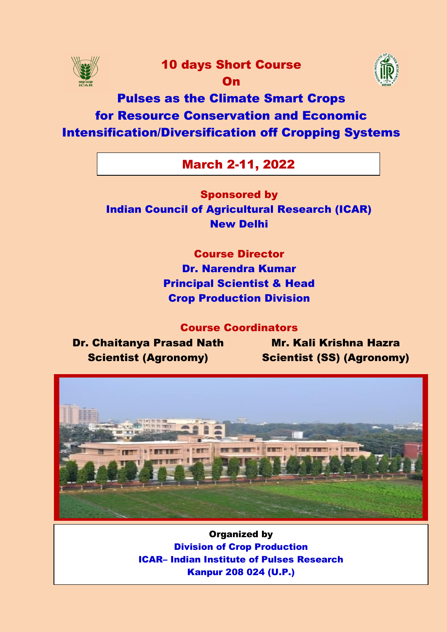

# 10 days Short Course

On



# Pulses as the Climate Smart Crops for Resource Conservation and Economic Intensification/Diversification off Cropping Systems

# March 2-11, 2022

Sponsored by Indian Council of Agricultural Research (ICAR) New Delhi

> Course Director Dr. Narendra Kumar Principal Scientist & Head Crop Production Division

> > Course Coordinators

Dr. Chaitanya Prasad Nath Scientist (Agronomy)

Mr. Kali Krishna Hazra Scientist (SS) (Agronomy)



Organized by Division of Crop Production ICAR– Indian Institute of Pulses Research Kanpur 208 024 (U.P.)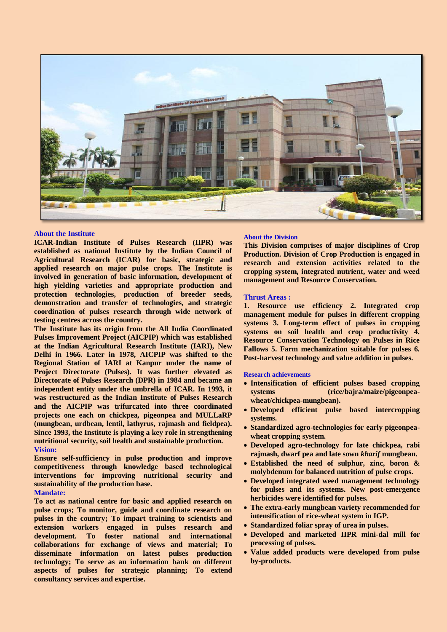

# **About the Institute**

**ICAR-Indian Institute of Pulses Research (IIPR) was established as national Institute by the Indian Council of Agricultural Research (ICAR) for basic, strategic and applied research on major pulse crops. The Institute is involved in generation of basic information, development of high yielding varieties and appropriate production and protection technologies, production of breeder seeds, demonstration and transfer of technologies, and strategic coordination of pulses research through wide network of testing centres across the country.**

**The Institute has its origin from the All India Coordinated Pulses Improvement Project (AICPIP) which was established at the Indian Agricultural Research Institute (IARI), New Delhi in 1966. Later in 1978, AICPIP was shifted to the Regional Station of IARI at Kanpur under the name of Project Directorate (Pulses). It was further elevated as Directorate of Pulses Research (DPR) in 1984 and became an independent entity under the umbrella of ICAR. In 1993, it was restructured as the Indian Institute of Pulses Research and the AICPIP was trifurcated into three coordinated projects one each on chickpea, pigeonpea and MULLaRP (mungbean, urdbean, lentil, lathyrus, rajmash and fieldpea). Since 1993, the Institute is playing a key role in strengthening nutritional security, soil health and sustainable production. Vision:** 

**Ensure self-sufficiency in pulse production and improve competitiveness through knowledge based technological interventions for improving nutritional security and sustainability of the production base.** 

# **Mandate:**

**To act as national centre for basic and applied research on pulse crops; To monitor, guide and coordinate research on pulses in the country; To impart training to scientists and extension workers engaged in pulses research and development. To foster national and international collaborations for exchange of views and material; To disseminate information on latest pulses production technology; To serve as an information bank on different aspects of pulses for strategic planning; To extend consultancy services and expertise.**

#### **About the Division**

**This Division comprises of major disciplines of Crop Production. Division of Crop Production is engaged in research and extension activities related to the cropping system, integrated nutrient, water and weed management and Resource Conservation.** 

### **Thrust Areas :**

**1. Resource use efficiency 2. Integrated crop management module for pulses in different cropping systems 3. Long-term effect of pulses in cropping systems on soil health and crop productivity 4. Resource Conservation Technology on Pulses in Rice Fallows 5. Farm mechanization suitable for pulses 6. Post-harvest technology and value addition in pulses.**

#### **Research achievements**

- **Intensification of efficient pulses based cropping systems (rice/bajra/maize/pigeonpeawheat/chickpea-mungbean).**
- **Developed efficient pulse based intercropping systems.**
- **Standardized agro-technologies for early pigeonpeawheat cropping system.**
- **Developed agro-technology for late chickpea, rabi rajmash, dwarf pea and late sown** *kharif* **mungbean.**
- **Established the need of sulphur, zinc, boron & molybdenum for balanced nutrition of pulse crops.**
- **Developed integrated weed management technology for pulses and its systems. New post-emergence herbicides were identified for pulses.**
- **The extra-early mungbean variety recommended for intensification of rice-wheat system in IGP.**
- **Standardized foliar spray of urea in pulses.**
- **Developed and marketed IIPR mini-dal mill for processing of pulses.**
- **Value added products were developed from pulse by-products.**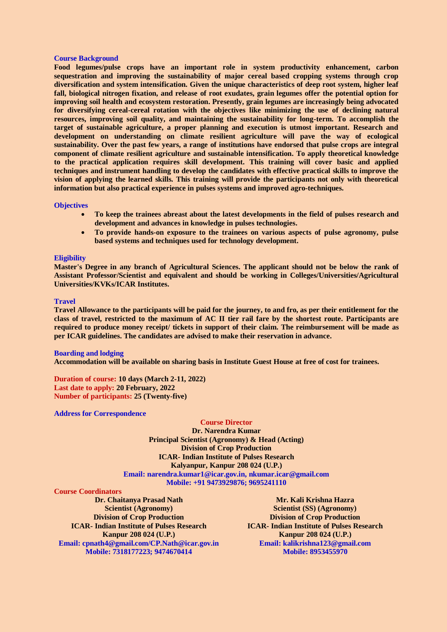### **Course Background**

Food legumes/pulse crops have an important role in system productivity enhancement, carbon **sequestration and improving the sustainability of major cereal based cropping systems through crop diversification and system intensification. Given the unique characteristics of deep root system, higher leaf fall, biological nitrogen fixation, and release of root exudates, grain legumes offer the potential option for improving soil health and ecosystem restoration. Presently, grain legumes are increasingly being advocated for diversifying cereal-cereal rotation with the objectives like minimizing the use of declining natural resources, improving soil quality, and maintaining the sustainability for long-term. To accomplish the target of sustainable agriculture, a proper planning and execution is utmost important. Research and development on understanding on climate resilient agriculture will pave the way of ecological sustainability. Over the past few years, a range of institutions have endorsed that pulse crops are integral component of climate resilient agriculture and sustainable intensification. To apply theoretical knowledge to the practical application requires skill development. This training will cover basic and applied techniques and instrument handling to develop the candidates with effective practical skills to improve the vision of applying the learned skills. This training will provide the participants not only with theoretical information but also practical experience in pulses systems and improved agro-techniques.**

## **Objectives**

- **To keep the trainees abreast about the latest developments in the field of pulses research and development and advances in knowledge in pulses technologies.**
- **To provide hands-on exposure to the trainees on various aspects of pulse agronomy, pulse based systems and techniques used for technology development.**

# **Eligibility**

**Master's Degree in any branch of Agricultural Sciences. The applicant should not be below the rank of Assistant Professor/Scientist and equivalent and should be working in Colleges/Universities/Agricultural Universities/KVKs/ICAR Institutes.**

#### **Travel**

**Travel Allowance to the participants will be paid for the journey, to and fro, as per their entitlement for the class of travel, restricted to the maximum of AC II tier rail fare by the shortest route. Participants are required to produce money receipt/ tickets in support of their claim. The reimbursement will be made as per ICAR guidelines. The candidates are advised to make their reservation in advance.**

#### **Boarding and lodging**

**Accommodation will be available on sharing basis in Institute Guest House at free of cost for trainees.**

**Duration of course: 10 days (March 2-11, 2022) Last date to apply: 20 February, 2022 Number of participants: 25 (Twenty-five)**

**Address for Correspondence**

# **Course Director**

**Dr. Narendra Kumar Principal Scientist (Agronomy) & Head (Acting) Division of Crop Production ICAR- Indian Institute of Pulses Research Kalyanpur, Kanpur 208 024 (U.P.) Email: narendra.kumar1@icar.gov.in, nkumar.icar@gmail.com Mobile: +91 9473929876; 9695241110**

## **Course Coordinators**

**Dr. Chaitanya Prasad Nath Scientist (Agronomy) Division of Crop Production ICAR- Indian Institute of Pulses Research Kanpur 208 024 (U.P.) Email: cpnath4@gmail.com/CP.Nath@icar.gov.in Mobile: 7318177223; 9474670414**

**Mr. Kali Krishna Hazra Scientist (SS) (Agronomy) Division of Crop Production ICAR- Indian Institute of Pulses Research Kanpur 208 024 (U.P.) Email: kalikrishna123@gmail.com Mobile: 8953455970**